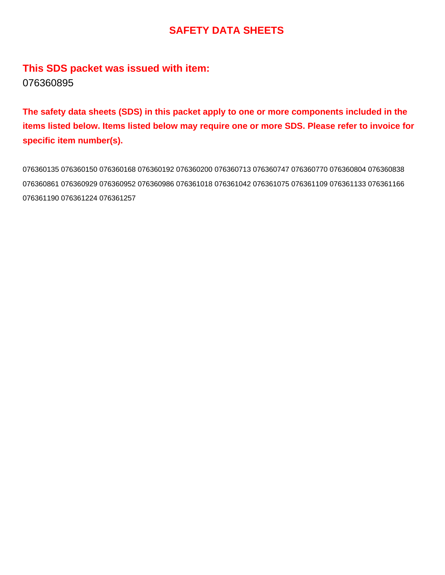### **This SDS packet was issued with item:** 076360895

**The safety data sheets (SDS) in this packet apply to one or more components included in the items listed below. Items listed below may require one or more SDS. Please refer to invoice for specific item number(s).**

076360135 076360150 076360168 076360192 076360200 076360713 076360747 076360770 076360804 076360838 076360861 076360929 076360952 076360986 076361018 076361042 076361075 076361109 076361133 076361166 076361190 076361224 076361257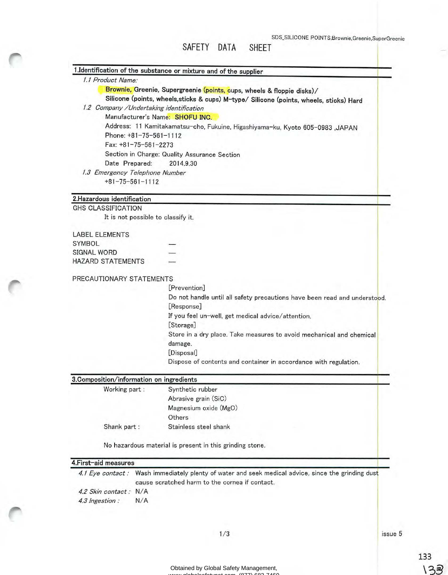|                                                     | SDS_SILICONE POINTS, Brownie, Greenie, Super<br>SAFETY DATA<br><b>SHEET</b>             |
|-----------------------------------------------------|-----------------------------------------------------------------------------------------|
|                                                     | 1.Identification of the substance or mixture and of the supplier                        |
| 1.1 Product Name:                                   |                                                                                         |
|                                                     | Brownie, Greenie, Supergreenie (points, cups, wheels & floppie disks)/                  |
|                                                     | Silicone (points, wheels, sticks & cups) M-type/ Silicone (points, wheels, sticks) Hard |
| 1.2 Company / Undertaking identification            |                                                                                         |
|                                                     | Manufacturer's Name: SHOFU INC.                                                         |
|                                                     | Address: 11 Kamitakamatsu-cho, Fukuine, Higashiyama-ku, Kyoto 605-0983 ,JAPAN           |
| Phone: $+81-75-561-1112$                            |                                                                                         |
| Fax: +81-75-561-2273                                |                                                                                         |
|                                                     | Section in Charge: Quality Assurance Section                                            |
| Date Prepared:                                      | 2014.9.30                                                                               |
| 1.3 Emergency Telephone Number<br>$+81-75-561-1112$ |                                                                                         |
| 2. Hazardous identification                         |                                                                                         |
| <b>GHS CLASSIFICATION</b>                           |                                                                                         |
| It is not possible to classify it.                  |                                                                                         |
| <b>LABEL ELEMENTS</b>                               |                                                                                         |
| SYMBOL                                              |                                                                                         |
| <b>SIGNAL WORD</b>                                  |                                                                                         |
| <b>HAZARD STATEMENTS</b>                            |                                                                                         |
|                                                     |                                                                                         |
| PRECAUTIONARY STATEMENTS                            |                                                                                         |
|                                                     | [Prevention]                                                                            |
|                                                     | Do not handle until all safety precautions have been read and understood.               |
|                                                     | [Response]                                                                              |
|                                                     | If you feel un-well, get medical advice/attention.                                      |
|                                                     | [Storage]                                                                               |
|                                                     | Store in a dry place. Take measures to avoid mechanical and chemical                    |
|                                                     | damage.                                                                                 |
|                                                     | [Disposal]                                                                              |

Dispose of contents and container in accordance with regulation.

| 3. Composition/information on ingredients |                       |  |
|-------------------------------------------|-----------------------|--|
| Working part:                             | Synthetic rubber      |  |
|                                           | Abrasive grain (SiC)  |  |
|                                           | Magnesium oxide (MgO) |  |
|                                           | Others                |  |
| Shank part:                               | Stainless steel shank |  |
|                                           |                       |  |

No hazardous material is present in this grinding stone.

#### 4.First-aid measures

|                       | 4.1 Eye contact: Wash immediately plenty of water and seek medical advice, since the grinding dust |
|-----------------------|----------------------------------------------------------------------------------------------------|
|                       | cause scratched harm to the cornea if contact.                                                     |
| 4.2 Skin contact: N/A |                                                                                                    |
| 4.3 Ingestion :       | N/A                                                                                                |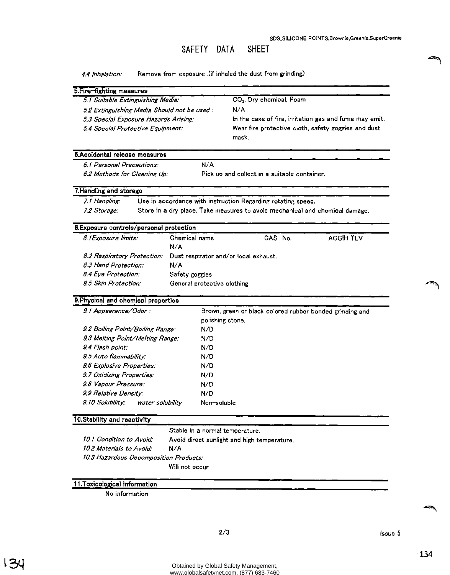4.4 *Inhalation:* Remove from exposure .(if inhaled the dust from grinding)

| 5.Fire-fighting measures                    |                                                        |  |  |
|---------------------------------------------|--------------------------------------------------------|--|--|
| 5.1 Suitable Extinguishing Media:           | CO <sub>2</sub> , Dry chemical, Foam                   |  |  |
| 5.2 Extinguishing Media Should not be used: | N/A                                                    |  |  |
| 5.3 Special Exposure Hazards Arising:       | In the case of fire, irritation gas and fume may emit, |  |  |
| 5.4 Special Protective Equipment:           | Wear fire protective cloth, safety goggles and dust    |  |  |
|                                             | mask.                                                  |  |  |

#### 6.Accidental release measures

*6.* I *Personal Precautions: 6.2 Methods for Cleaning Up:* 

Pick up and collect in a suitable container.

#### 7.Handling and storage

7.1 *Handling*: Use in accordance with instruction Regarding rotating speed. *7.2 Storage:* Store in a dry place. Take measures to avoid mechanical and chemical damage.

N/A

#### 8.Exposure controls/personal protection

| 8.1 Exposure limits:                                              | Chemical name               | CAS No. | ACGIH TLV |
|-------------------------------------------------------------------|-----------------------------|---------|-----------|
|                                                                   | N/A                         |         |           |
| 8.2 Respiratory Protection: Dust respirator and/or local exhaust. |                             |         |           |
| 8.3 Hand Protection:                                              | N/A                         |         |           |
| 8.4 Eye Protection:                                               | Safety goggles              |         |           |
| 8.5 Skin Protection:                                              | General protective clothing |         |           |

#### 9.Physical and chemical properties

| Brown, green or black colored rubber bonded grinding and |
|----------------------------------------------------------|
| polishing stone.                                         |
| N/D                                                      |
| N/D                                                      |
| N/D                                                      |
| N/D                                                      |
| N/D                                                      |
| N/D                                                      |
| N/D                                                      |
| N/D                                                      |
| Non-soluble                                              |
|                                                          |

#### 10.Stability and reactivity

Stable in a normal temperature.

I *0.* I *Condition to Avoid·*  I *0.2 Materials to A void'*  Avoid direct sunlight and high temperature. N/A I *0.3 Hazardous Decomposition Products:* 

Will not occur

#### 11.Toxicological infonnation

No information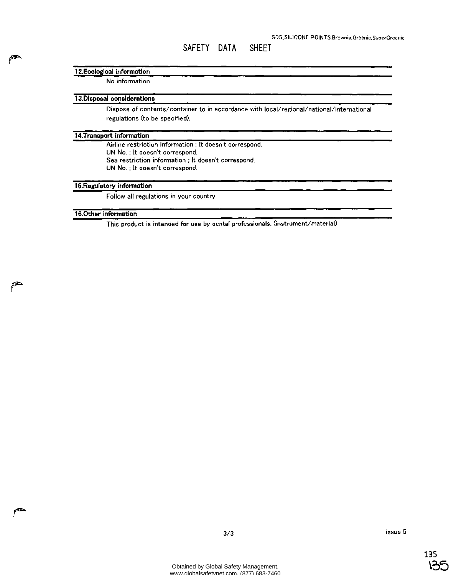#### **12.Ecological infonnation**

No information

#### **13.Disposal considerations**

Dispose of contents/container to in accordance with local/regional/national/international regulations (to be specified).

#### **14. Transport infonnation**

Airline restriction information ; It doesn't correspond. UN No. : It doesn't correspond. Sea restriction information ; It doesn't correspond. UN No. ; It doesn't correspond.

#### **15.Regulatory infonnation**

Follow all regulations in your country.

#### **16.0ther information**

This product is intended for use by dental professionals. (instrument/material)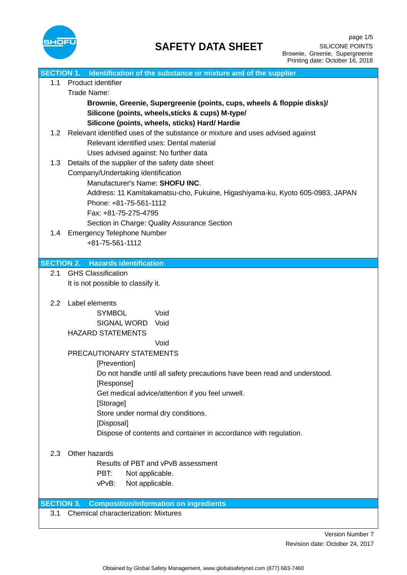

|                   | SECTION 1. Identification of the substance or mixture and of the supplier                 |  |
|-------------------|-------------------------------------------------------------------------------------------|--|
| 1.1               | Product identifier                                                                        |  |
|                   | Trade Name:                                                                               |  |
|                   | Brownie, Greenie, Supergreenie (points, cups, wheels & floppie disks)/                    |  |
|                   | Silicone (points, wheels, sticks & cups) M-type/                                          |  |
|                   | Silicone (points, wheels, sticks) Hard/ Hardie                                            |  |
| 1.2               | Relevant identified uses of the substance or mixture and uses advised against             |  |
|                   | Relevant identified uses: Dental material                                                 |  |
|                   | Uses advised against: No further data                                                     |  |
| 1.3               | Details of the supplier of the safety date sheet                                          |  |
|                   | Company/Undertaking identification                                                        |  |
|                   | Manufacturer's Name: SHOFU INC.                                                           |  |
|                   | Address: 11 Kamitakamatsu-cho, Fukuine, Higashiyama-ku, Kyoto 605-0983, JAPAN             |  |
|                   | Phone: +81-75-561-1112                                                                    |  |
|                   | Fax: +81-75-275-4795                                                                      |  |
|                   | Section in Charge: Quality Assurance Section                                              |  |
| 1.4               | <b>Emergency Telephone Number</b>                                                         |  |
|                   | +81-75-561-1112                                                                           |  |
|                   |                                                                                           |  |
|                   | <b>SECTION 2. Hazards identification</b>                                                  |  |
| 2.1               | <b>GHS Classification</b>                                                                 |  |
|                   | It is not possible to classify it.                                                        |  |
|                   |                                                                                           |  |
| 2.2               | Label elements                                                                            |  |
|                   | <b>SYMBOL</b><br>Void                                                                     |  |
|                   | SIGNAL WORD Void                                                                          |  |
|                   | <b>HAZARD STATEMENTS</b>                                                                  |  |
|                   | Void                                                                                      |  |
|                   | PRECAUTIONARY STATEMENTS                                                                  |  |
|                   | [Prevention]<br>Do not handle until all safety precautions have been read and understood. |  |
|                   | [Response]                                                                                |  |
|                   | Get medical advice/attention if you feel unwell.                                          |  |
|                   | [Storage]                                                                                 |  |
|                   | Store under normal dry conditions.                                                        |  |
|                   | [Disposal]                                                                                |  |
|                   | Dispose of contents and container in accordance with regulation.                          |  |
|                   |                                                                                           |  |
| 2.3               | Other hazards                                                                             |  |
|                   | Results of PBT and vPvB assessment                                                        |  |
|                   | PBT:<br>Not applicable.                                                                   |  |
|                   | Not applicable.<br>vPvB:                                                                  |  |
|                   |                                                                                           |  |
| <b>SECTION 3.</b> | <b>Composition/information on ingredients</b>                                             |  |
| 3.1               | <b>Chemical characterization: Mixtures</b>                                                |  |
|                   |                                                                                           |  |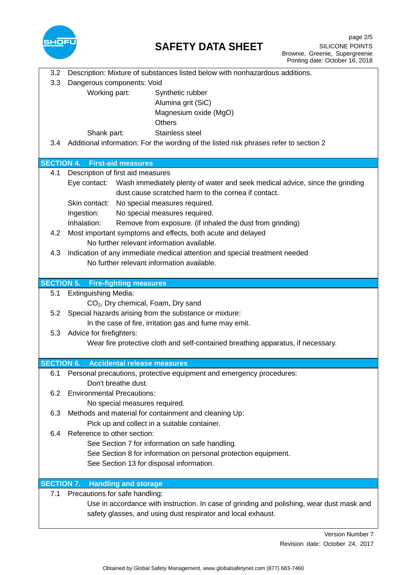

| 3.2<br>3.3        | Description: Mixture of substances listed below with nonhazardous additions.<br>Dangerous components: Void                                       |  |  |
|-------------------|--------------------------------------------------------------------------------------------------------------------------------------------------|--|--|
|                   | Working part:<br>Synthetic rubber<br>Alumina grit (SiC)                                                                                          |  |  |
|                   | Magnesium oxide (MgO)                                                                                                                            |  |  |
|                   | <b>Others</b>                                                                                                                                    |  |  |
| 3.4               | Stainless steel<br>Shank part:<br>Additional information: For the wording of the listed risk phrases refer to section 2                          |  |  |
|                   |                                                                                                                                                  |  |  |
| <b>SECTION 4.</b> | <b>First-aid measures</b>                                                                                                                        |  |  |
| 4.1               | Description of first aid measures                                                                                                                |  |  |
|                   | Eye contact: Wash immediately plenty of water and seek medical advice, since the grinding<br>dust cause scratched harm to the cornea if contact. |  |  |
|                   | Skin contact: No special measures required.                                                                                                      |  |  |
|                   | Ingestion:<br>No special measures required.                                                                                                      |  |  |
|                   | Inhalation:<br>Remove from exposure. (if inhaled the dust from grinding)                                                                         |  |  |
| 4.2               | Most important symptoms and effects, both acute and delayed                                                                                      |  |  |
|                   | No further relevant information available.                                                                                                       |  |  |
| 4.3               | Indication of any immediate medical attention and special treatment needed                                                                       |  |  |
|                   | No further relevant information available.                                                                                                       |  |  |
|                   | <b>SECTION 5. Fire-fighting measures</b>                                                                                                         |  |  |
| 5.1               | <b>Extinguishing Media:</b>                                                                                                                      |  |  |
|                   | CO <sub>2</sub> , Dry chemical, Foam, Dry sand                                                                                                   |  |  |
| 5.2               | Special hazards arising from the substance or mixture:                                                                                           |  |  |
| 5.3               | In the case of fire, irritation gas and fume may emit.                                                                                           |  |  |
|                   | Advice for firefighters:<br>Wear fire protective cloth and self-contained breathing apparatus, if necessary.                                     |  |  |
|                   |                                                                                                                                                  |  |  |
| <b>SECTION 6.</b> | <b>Accidental release measures</b>                                                                                                               |  |  |
| 6.1               | Personal precautions, protective equipment and emergency procedures:                                                                             |  |  |
|                   | Don't breathe dust.                                                                                                                              |  |  |
| 6.2               | <b>Environmental Precautions:</b><br>No special measures required.                                                                               |  |  |
| 6.3               | Methods and material for containment and cleaning Up:                                                                                            |  |  |
|                   | Pick up and collect in a suitable container.                                                                                                     |  |  |
| 6.4               | Reference to other section:                                                                                                                      |  |  |
|                   | See Section 7 for information on safe handling.                                                                                                  |  |  |
|                   | See Section 8 for information on personal protection equipment.                                                                                  |  |  |
|                   | See Section 13 for disposal information.                                                                                                         |  |  |
| <b>SECTION 7.</b> | <b>Handling and storage</b>                                                                                                                      |  |  |
| 7.1               | Precautions for safe handling:                                                                                                                   |  |  |
|                   | Use in accordance with instruction. In case of grinding and polishing, wear dust mask and                                                        |  |  |
|                   | safety glasses, and using dust respirator and local exhaust.                                                                                     |  |  |
|                   |                                                                                                                                                  |  |  |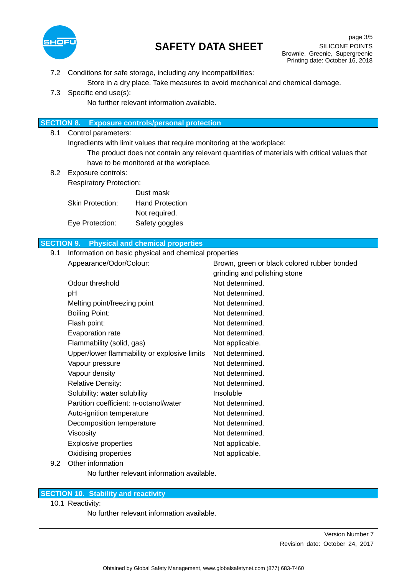

| 7.2               | Conditions for safe storage, including any incompatibilities:                |                                                                                             |  |  |
|-------------------|------------------------------------------------------------------------------|---------------------------------------------------------------------------------------------|--|--|
|                   | Store in a dry place. Take measures to avoid mechanical and chemical damage. |                                                                                             |  |  |
| 7.3               | Specific end use(s):                                                         |                                                                                             |  |  |
|                   | No further relevant information available.                                   |                                                                                             |  |  |
|                   |                                                                              |                                                                                             |  |  |
| <b>SECTION 8.</b> | <b>Exposure controls/personal protection</b>                                 |                                                                                             |  |  |
| 8.1               | Control parameters:                                                          |                                                                                             |  |  |
|                   | Ingredients with limit values that require monitoring at the workplace:      |                                                                                             |  |  |
|                   |                                                                              | The product does not contain any relevant quantities of materials with critical values that |  |  |
|                   | have to be monitored at the workplace.                                       |                                                                                             |  |  |
| 8.2               | Exposure controls:                                                           |                                                                                             |  |  |
|                   | <b>Respiratory Protection:</b>                                               |                                                                                             |  |  |
|                   | Dust mask                                                                    |                                                                                             |  |  |
|                   | <b>Skin Protection:</b><br><b>Hand Protection</b>                            |                                                                                             |  |  |
|                   | Not required.                                                                |                                                                                             |  |  |
|                   | Safety goggles<br>Eye Protection:                                            |                                                                                             |  |  |
| <b>SECTION 9.</b> | <b>Physical and chemical properties</b>                                      |                                                                                             |  |  |
| 9.1               | Information on basic physical and chemical properties                        |                                                                                             |  |  |
|                   | Appearance/Odor/Colour:                                                      | Brown, green or black colored rubber bonded                                                 |  |  |
|                   |                                                                              | grinding and polishing stone                                                                |  |  |
|                   | Odour threshold                                                              | Not determined.                                                                             |  |  |
|                   | pH                                                                           | Not determined.                                                                             |  |  |
|                   | Melting point/freezing point                                                 | Not determined.                                                                             |  |  |
|                   | <b>Boiling Point:</b>                                                        | Not determined.                                                                             |  |  |
|                   | Flash point:                                                                 | Not determined.                                                                             |  |  |
|                   | Evaporation rate                                                             | Not determined.                                                                             |  |  |
|                   | Flammability (solid, gas)                                                    | Not applicable.                                                                             |  |  |
|                   | Upper/lower flammability or explosive limits                                 | Not determined.                                                                             |  |  |
|                   | Vapour pressure                                                              | Not determined.                                                                             |  |  |
|                   | Vapour density                                                               | Not determined.                                                                             |  |  |
|                   | <b>Relative Density:</b>                                                     | Not determined.                                                                             |  |  |
|                   | Solubility: water solubility                                                 | Insoluble                                                                                   |  |  |
|                   | Partition coefficient: n-octanol/water                                       | Not determined.                                                                             |  |  |
|                   | Auto-ignition temperature                                                    | Not determined.                                                                             |  |  |
|                   | Decomposition temperature                                                    | Not determined.                                                                             |  |  |
|                   | Viscosity                                                                    | Not determined.                                                                             |  |  |
|                   | <b>Explosive properties</b>                                                  | Not applicable.                                                                             |  |  |
|                   | Oxidising properties                                                         | Not applicable.                                                                             |  |  |
| 9.2               | Other information                                                            |                                                                                             |  |  |
|                   | No further relevant information available.                                   |                                                                                             |  |  |
|                   |                                                                              |                                                                                             |  |  |
|                   | <b>SECTION 10. Stability and reactivity</b>                                  |                                                                                             |  |  |
|                   | 10.1 Reactivity:                                                             |                                                                                             |  |  |
|                   | No further relevant information available.                                   |                                                                                             |  |  |
|                   |                                                                              |                                                                                             |  |  |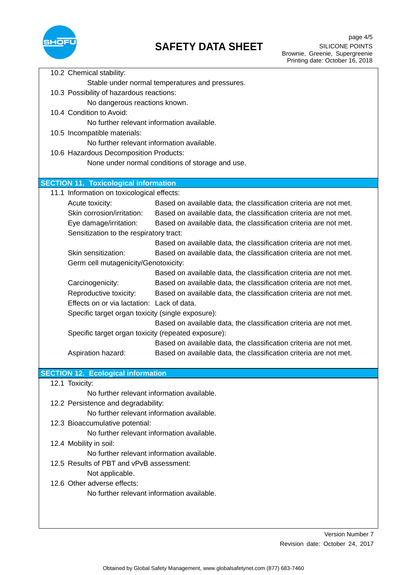

|                     |                                                   | 10.2 Chemical stability:                            |                                                                   |  |
|---------------------|---------------------------------------------------|-----------------------------------------------------|-------------------------------------------------------------------|--|
|                     |                                                   | Stable under normal temperatures and pressures.     |                                                                   |  |
|                     |                                                   | 10.3 Possibility of hazardous reactions:            |                                                                   |  |
|                     |                                                   | No dangerous reactions known.                       |                                                                   |  |
|                     |                                                   | 10.4 Condition to Avoid:                            |                                                                   |  |
|                     |                                                   | No further relevant information available.          |                                                                   |  |
|                     |                                                   | 10.5 Incompatible materials:                        |                                                                   |  |
|                     |                                                   | No further relevant information available.          |                                                                   |  |
|                     |                                                   | 10.6 Hazardous Decomposition Products:              |                                                                   |  |
|                     |                                                   |                                                     | None under normal conditions of storage and use.                  |  |
|                     |                                                   |                                                     |                                                                   |  |
|                     |                                                   | <b>SECTION 11. Toxicological information</b>        |                                                                   |  |
|                     |                                                   | 11.1 Information on toxicological effects:          |                                                                   |  |
|                     |                                                   | Acute toxicity:                                     | Based on available data, the classification criteria are not met. |  |
|                     |                                                   | Skin corrosion/irritation:                          | Based on available data, the classification criteria are not met. |  |
|                     |                                                   | Eye damage/irritation:                              | Based on available data, the classification criteria are not met. |  |
|                     |                                                   | Sensitization to the respiratory tract:             |                                                                   |  |
|                     |                                                   |                                                     | Based on available data, the classification criteria are not met. |  |
| Skin sensitization: |                                                   |                                                     | Based on available data, the classification criteria are not met. |  |
|                     | Germ cell mutagenicity/Genotoxicity:              |                                                     |                                                                   |  |
|                     |                                                   |                                                     | Based on available data, the classification criteria are not met. |  |
|                     |                                                   | Carcinogenicity:                                    | Based on available data, the classification criteria are not met. |  |
|                     |                                                   | Reproductive toxicity:                              | Based on available data, the classification criteria are not met. |  |
|                     | Effects on or via lactation: Lack of data.        |                                                     |                                                                   |  |
|                     | Specific target organ toxicity (single exposure): |                                                     |                                                                   |  |
|                     |                                                   |                                                     | Based on available data, the classification criteria are not met. |  |
|                     |                                                   | Specific target organ toxicity (repeated exposure): |                                                                   |  |
|                     |                                                   |                                                     | Based on available data, the classification criteria are not met. |  |
|                     |                                                   | Aspiration hazard:                                  | Based on available data, the classification criteria are not met. |  |
|                     |                                                   |                                                     |                                                                   |  |
|                     |                                                   | <b>SECTION 12. Ecological information</b>           |                                                                   |  |
|                     |                                                   | 12.1 Toxicity:                                      |                                                                   |  |
|                     |                                                   | No further relevant information available.          |                                                                   |  |
|                     |                                                   | 12.2 Persistence and degradability:                 |                                                                   |  |
|                     |                                                   | No further relevant information available.          |                                                                   |  |
|                     |                                                   | 12.3 Bioaccumulative potential:                     |                                                                   |  |
|                     | No further relevant information available.        |                                                     |                                                                   |  |
|                     |                                                   | 12.4 Mobility in soil:                              |                                                                   |  |
|                     |                                                   | No further relevant information available.          |                                                                   |  |
|                     |                                                   | 12.5 Results of PBT and vPvB assessment:            |                                                                   |  |
|                     |                                                   | Not applicable.                                     |                                                                   |  |
|                     |                                                   | 12.6 Other adverse effects:                         |                                                                   |  |
|                     |                                                   | No further relevant information available.          |                                                                   |  |
|                     |                                                   |                                                     |                                                                   |  |
|                     |                                                   |                                                     |                                                                   |  |
|                     |                                                   |                                                     |                                                                   |  |